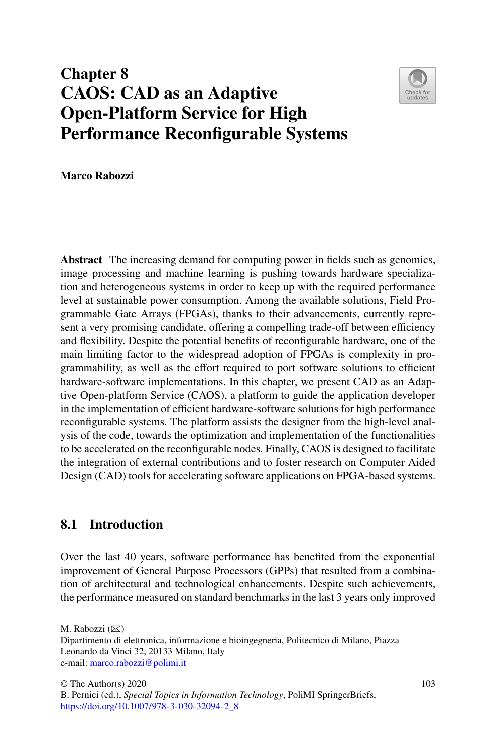

# **Chapter 8 CAOS: CAD as an Adaptive Open-Platform Service for High Performance Reconfigurable Systems**

**Marco Rabozzi**

**Abstract** The increasing demand for computing power in fields such as genomics, image processing and machine learning is pushing towards hardware specialization and heterogeneous systems in order to keep up with the required performance level at sustainable power consumption. Among the available solutions, Field Programmable Gate Arrays (FPGAs), thanks to their advancements, currently represent a very promising candidate, offering a compelling trade-off between efficiency and flexibility. Despite the potential benefits of reconfigurable hardware, one of the main limiting factor to the widespread adoption of FPGAs is complexity in programmability, as well as the effort required to port software solutions to efficient hardware-software implementations. In this chapter, we present CAD as an Adaptive Open-platform Service (CAOS), a platform to guide the application developer in the implementation of efficient hardware-software solutions for high performance reconfigurable systems. The platform assists the designer from the high-level analysis of the code, towards the optimization and implementation of the functionalities to be accelerated on the reconfigurable nodes. Finally, CAOS is designed to facilitate the integration of external contributions and to foster research on Computer Aided Design (CAD) tools for accelerating software applications on FPGA-based systems.

# **8.1 Introduction**

Over the last 40 years, software performance has benefited from the exponential improvement of General Purpose Processors (GPPs) that resulted from a combination of architectural and technological enhancements. Despite such achievements, the performance measured on standard benchmarks in the last 3 years only improved

© The Author(s) 2020

103

M. Rabozzi (⊠)

Dipartimento di elettronica, informazione e bioingegneria, Politecnico di Milano, Piazza Leonardo da Vinci 32, 20133 Milano, Italy e-mail: [marco.rabozzi@polimi.it](mailto:marco.rabozzi@polimi.it)

B. Pernici (ed.), *Special Topics in Information Technology*, PoliMI SpringerBriefs, [https://doi.org/10.1007/978-3-030-32094-2\\_8](https://doi.org/10.1007/978-3-030-32094-2_8)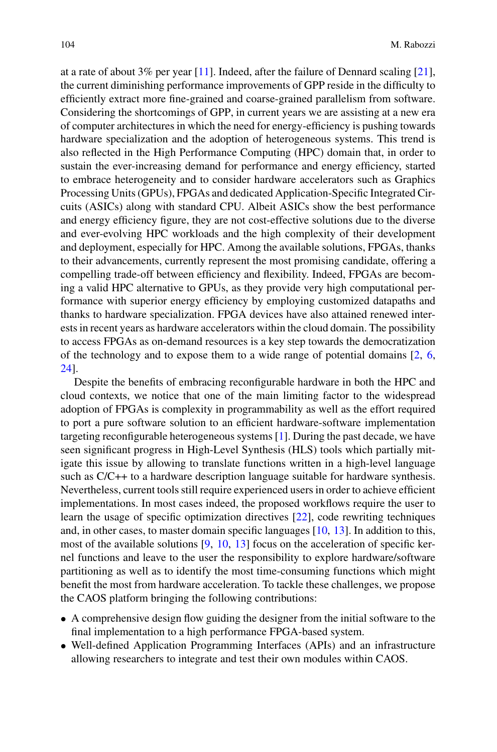at a rate of about 3% per year  $[11]$  $[11]$ . Indeed, after the failure of Dennard scaling  $[21]$  $[21]$ , the current diminishing performance improvements of GPP reside in the difficulty to efficiently extract more fine-grained and coarse-grained parallelism from software. Considering the shortcomings of GPP, in current years we are assisting at a new era of computer architectures in which the need for energy-efficiency is pushing towards hardware specialization and the adoption of heterogeneous systems. This trend is also reflected in the High Performance Computing (HPC) domain that, in order to sustain the ever-increasing demand for performance and energy efficiency, started to embrace heterogeneity and to consider hardware accelerators such as Graphics Processing Units (GPUs), FPGAs and dedicated Application-Specific Integrated Circuits (ASICs) along with standard CPU. Albeit ASICs show the best performance and energy efficiency figure, they are not cost-effective solutions due to the diverse and ever-evolving HPC workloads and the high complexity of their development and deployment, especially for HPC. Among the available solutions, FPGAs, thanks to their advancements, currently represent the most promising candidate, offering a compelling trade-off between efficiency and flexibility. Indeed, FPGAs are becoming a valid HPC alternative to GPUs, as they provide very high computational performance with superior energy efficiency by employing customized datapaths and thanks to hardware specialization. FPGA devices have also attained renewed interests in recent years as hardware accelerators within the cloud domain. The possibility to access FPGAs as on-demand resources is a key step towards the democratization of the technology and to expose them to a wide range of potential domains  $[2, 6, 1]$  $[2, 6, 1]$  $[2, 6, 1]$  $[2, 6, 1]$ [24\]](#page-12-1).

Despite the benefits of embracing reconfigurable hardware in both the HPC and cloud contexts, we notice that one of the main limiting factor to the widespread adoption of FPGAs is complexity in programmability as well as the effort required to port a pure software solution to an efficient hardware-software implementation targeting reconfigurable heterogeneous systems [\[1](#page-11-3)]. During the past decade, we have seen significant progress in High-Level Synthesis (HLS) tools which partially mitigate this issue by allowing to translate functions written in a high-level language such as C/C++ to a hardware description language suitable for hardware synthesis. Nevertheless, current tools still require experienced users in order to achieve efficient implementations. In most cases indeed, the proposed workflows require the user to learn the usage of specific optimization directives [\[22\]](#page-12-2), code rewriting techniques and, in other cases, to master domain specific languages [\[10,](#page-11-4) [13](#page-11-5)]. In addition to this, most of the available solutions  $[9, 10, 13]$  $[9, 10, 13]$  $[9, 10, 13]$  $[9, 10, 13]$  $[9, 10, 13]$  focus on the acceleration of specific kernel functions and leave to the user the responsibility to explore hardware/software partitioning as well as to identify the most time-consuming functions which might benefit the most from hardware acceleration. To tackle these challenges, we propose the CAOS platform bringing the following contributions:

- A comprehensive design flow guiding the designer from the initial software to the final implementation to a high performance FPGA-based system.
- Well-defined Application Programming Interfaces (APIs) and an infrastructure allowing researchers to integrate and test their own modules within CAOS.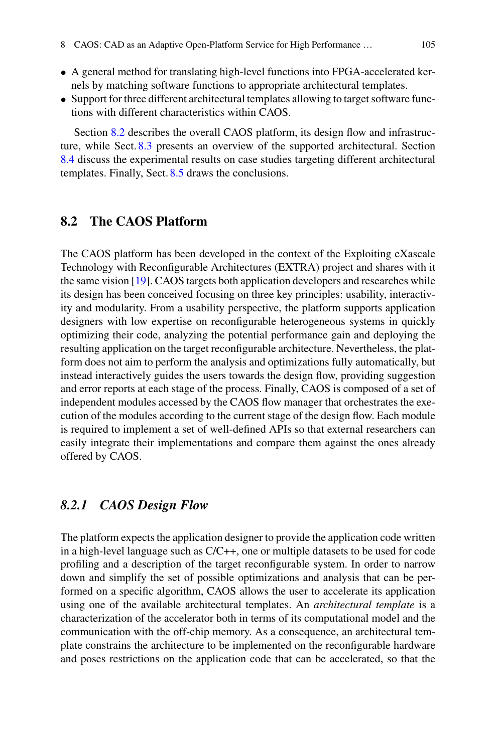- A general method for translating high-level functions into FPGA-accelerated kernels by matching software functions to appropriate architectural templates.
- Support for three different architectural templates allowing to target software functions with different characteristics within CAOS.

Section [8.2](#page-2-0) describes the overall CAOS platform, its design flow and infrastructure, while Sect. [8.3](#page-5-0) presents an overview of the supported architectural. Section [8.4](#page-9-0) discuss the experimental results on case studies targeting different architectural templates. Finally, Sect. [8.5](#page-10-0) draws the conclusions.

# <span id="page-2-0"></span>**8.2 The CAOS Platform**

The CAOS platform has been developed in the context of the Exploiting eXascale Technology with Reconfigurable Architectures (EXTRA) project and shares with it the same vision [\[19](#page-12-3)]. CAOS targets both application developers and researches while its design has been conceived focusing on three key principles: usability, interactivity and modularity. From a usability perspective, the platform supports application designers with low expertise on reconfigurable heterogeneous systems in quickly optimizing their code, analyzing the potential performance gain and deploying the resulting application on the target reconfigurable architecture. Nevertheless, the platform does not aim to perform the analysis and optimizations fully automatically, but instead interactively guides the users towards the design flow, providing suggestion and error reports at each stage of the process. Finally, CAOS is composed of a set of independent modules accessed by the CAOS flow manager that orchestrates the execution of the modules according to the current stage of the design flow. Each module is required to implement a set of well-defined APIs so that external researchers can easily integrate their implementations and compare them against the ones already offered by CAOS.

# <span id="page-2-1"></span>*8.2.1 CAOS Design Flow*

The platform expects the application designer to provide the application code written in a high-level language such as C/C++, one or multiple datasets to be used for code profiling and a description of the target reconfigurable system. In order to narrow down and simplify the set of possible optimizations and analysis that can be performed on a specific algorithm, CAOS allows the user to accelerate its application using one of the available architectural templates. An *architectural template* is a characterization of the accelerator both in terms of its computational model and the communication with the off-chip memory. As a consequence, an architectural template constrains the architecture to be implemented on the reconfigurable hardware and poses restrictions on the application code that can be accelerated, so that the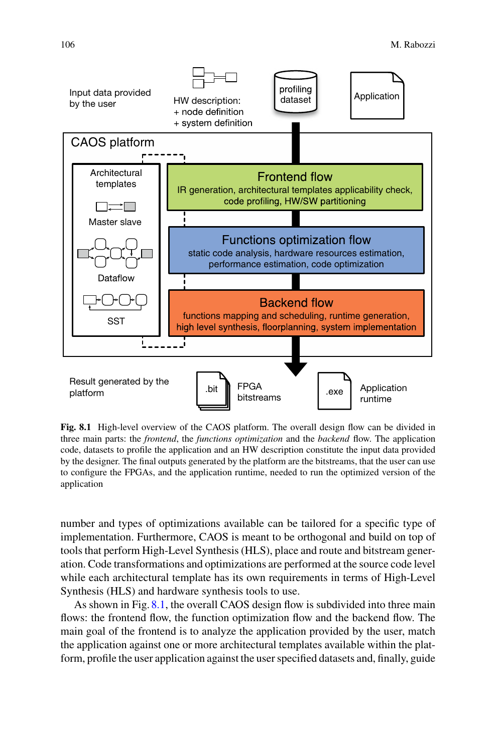

<span id="page-3-0"></span>**Fig. 8.1** High-level overview of the CAOS platform. The overall design flow can be divided in three main parts: the *frontend*, the *functions optimization* and the *backend* flow. The application code, datasets to profile the application and an HW description constitute the input data provided by the designer. The final outputs generated by the platform are the bitstreams, that the user can use to configure the FPGAs, and the application runtime, needed to run the optimized version of the application

number and types of optimizations available can be tailored for a specific type of implementation. Furthermore, CAOS is meant to be orthogonal and build on top of tools that perform High-Level Synthesis (HLS), place and route and bitstream generation. Code transformations and optimizations are performed at the source code level while each architectural template has its own requirements in terms of High-Level Synthesis (HLS) and hardware synthesis tools to use.

As shown in Fig. [8.1,](#page-3-0) the overall CAOS design flow is subdivided into three main flows: the frontend flow, the function optimization flow and the backend flow. The main goal of the frontend is to analyze the application provided by the user, match the application against one or more architectural templates available within the platform, profile the user application against the user specified datasets and, finally, guide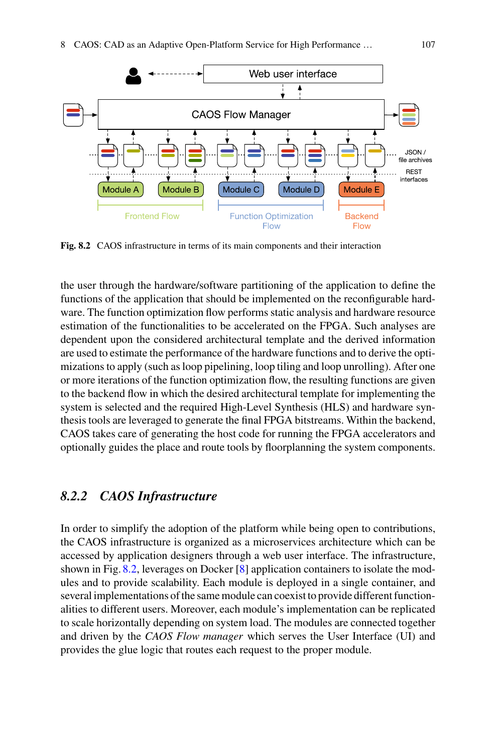

<span id="page-4-0"></span>**Fig. 8.2** CAOS infrastructure in terms of its main components and their interaction

the user through the hardware/software partitioning of the application to define the functions of the application that should be implemented on the reconfigurable hardware. The function optimization flow performs static analysis and hardware resource estimation of the functionalities to be accelerated on the FPGA. Such analyses are dependent upon the considered architectural template and the derived information are used to estimate the performance of the hardware functions and to derive the optimizations to apply (such as loop pipelining, loop tiling and loop unrolling). After one or more iterations of the function optimization flow, the resulting functions are given to the backend flow in which the desired architectural template for implementing the system is selected and the required High-Level Synthesis (HLS) and hardware synthesis tools are leveraged to generate the final FPGA bitstreams. Within the backend, CAOS takes care of generating the host code for running the FPGA accelerators and optionally guides the place and route tools by floorplanning the system components.

# *8.2.2 CAOS Infrastructure*

In order to simplify the adoption of the platform while being open to contributions, the CAOS infrastructure is organized as a microservices architecture which can be accessed by application designers through a web user interface. The infrastructure, shown in Fig. [8.2,](#page-4-0) leverages on Docker [\[8\]](#page-11-7) application containers to isolate the modules and to provide scalability. Each module is deployed in a single container, and several implementations of the same module can coexist to provide different functionalities to different users. Moreover, each module's implementation can be replicated to scale horizontally depending on system load. The modules are connected together and driven by the *CAOS Flow manager* which serves the User Interface (UI) and provides the glue logic that routes each request to the proper module.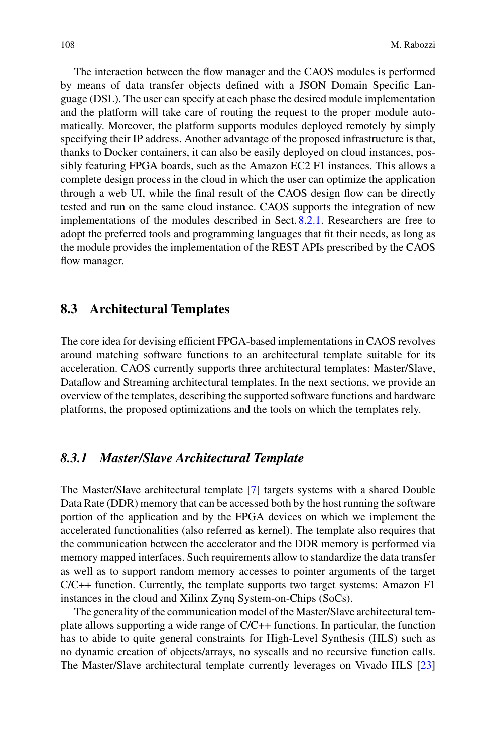The interaction between the flow manager and the CAOS modules is performed by means of data transfer objects defined with a JSON Domain Specific Language (DSL). The user can specify at each phase the desired module implementation and the platform will take care of routing the request to the proper module automatically. Moreover, the platform supports modules deployed remotely by simply specifying their IP address. Another advantage of the proposed infrastructure is that, thanks to Docker containers, it can also be easily deployed on cloud instances, possibly featuring FPGA boards, such as the Amazon EC2 F1 instances. This allows a complete design process in the cloud in which the user can optimize the application through a web UI, while the final result of the CAOS design flow can be directly tested and run on the same cloud instance. CAOS supports the integration of new implementations of the modules described in Sect. [8.2.1.](#page-2-1) Researchers are free to adopt the preferred tools and programming languages that fit their needs, as long as the module provides the implementation of the REST APIs prescribed by the CAOS flow manager.

# <span id="page-5-0"></span>**8.3 Architectural Templates**

The core idea for devising efficient FPGA-based implementations in CAOS revolves around matching software functions to an architectural template suitable for its acceleration. CAOS currently supports three architectural templates: Master/Slave, Dataflow and Streaming architectural templates. In the next sections, we provide an overview of the templates, describing the supported software functions and hardware platforms, the proposed optimizations and the tools on which the templates rely.

#### *8.3.1 Master/Slave Architectural Template*

The Master/Slave architectural template [\[7\]](#page-11-8) targets systems with a shared Double Data Rate (DDR) memory that can be accessed both by the host running the software portion of the application and by the FPGA devices on which we implement the accelerated functionalities (also referred as kernel). The template also requires that the communication between the accelerator and the DDR memory is performed via memory mapped interfaces. Such requirements allow to standardize the data transfer as well as to support random memory accesses to pointer arguments of the target C/C++ function. Currently, the template supports two target systems: Amazon F1 instances in the cloud and Xilinx Zynq System-on-Chips (SoCs).

The generality of the communication model of the Master/Slave architectural template allows supporting a wide range of C/C++ functions. In particular, the function has to abide to quite general constraints for High-Level Synthesis (HLS) such as no dynamic creation of objects/arrays, no syscalls and no recursive function calls. The Master/Slave architectural template currently leverages on Vivado HLS [\[23\]](#page-12-4)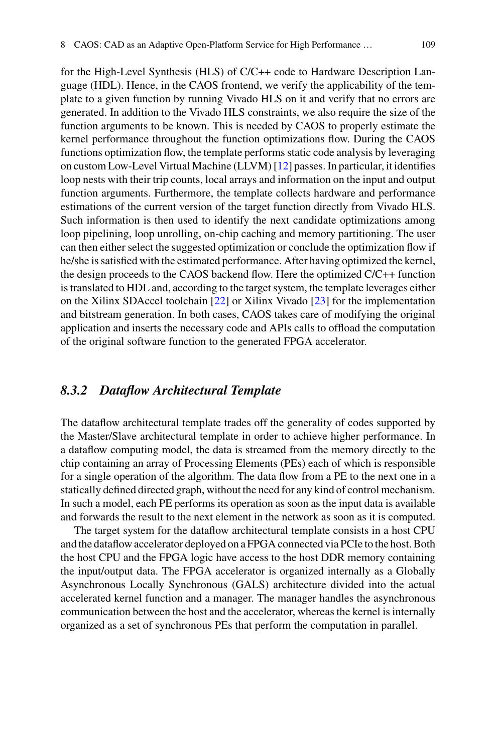for the High-Level Synthesis (HLS) of C/C++ code to Hardware Description Language (HDL). Hence, in the CAOS frontend, we verify the applicability of the template to a given function by running Vivado HLS on it and verify that no errors are generated. In addition to the Vivado HLS constraints, we also require the size of the function arguments to be known. This is needed by CAOS to properly estimate the kernel performance throughout the function optimizations flow. During the CAOS functions optimization flow, the template performs static code analysis by leveraging on custom Low-Level Virtual Machine (LLVM) [\[12](#page-11-9)] passes. In particular, it identifies loop nests with their trip counts, local arrays and information on the input and output function arguments. Furthermore, the template collects hardware and performance estimations of the current version of the target function directly from Vivado HLS. Such information is then used to identify the next candidate optimizations among loop pipelining, loop unrolling, on-chip caching and memory partitioning. The user can then either select the suggested optimization or conclude the optimization flow if he/she is satisfied with the estimated performance. After having optimized the kernel, the design proceeds to the CAOS backend flow. Here the optimized C/C++ function is translated to HDL and, according to the target system, the template leverages either on the Xilinx SDAccel toolchain [\[22\]](#page-12-2) or Xilinx Vivado [\[23](#page-12-4)] for the implementation and bitstream generation. In both cases, CAOS takes care of modifying the original application and inserts the necessary code and APIs calls to offload the computation of the original software function to the generated FPGA accelerator.

#### *8.3.2 Dataflow Architectural Template*

The dataflow architectural template trades off the generality of codes supported by the Master/Slave architectural template in order to achieve higher performance. In a dataflow computing model, the data is streamed from the memory directly to the chip containing an array of Processing Elements (PEs) each of which is responsible for a single operation of the algorithm. The data flow from a PE to the next one in a statically defined directed graph, without the need for any kind of control mechanism. In such a model, each PE performs its operation as soon as the input data is available and forwards the result to the next element in the network as soon as it is computed.

The target system for the dataflow architectural template consists in a host CPU and the dataflow accelerator deployed on a FPGA connected via PCIe to the host. Both the host CPU and the FPGA logic have access to the host DDR memory containing the input/output data. The FPGA accelerator is organized internally as a Globally Asynchronous Locally Synchronous (GALS) architecture divided into the actual accelerated kernel function and a manager. The manager handles the asynchronous communication between the host and the accelerator, whereas the kernel is internally organized as a set of synchronous PEs that perform the computation in parallel.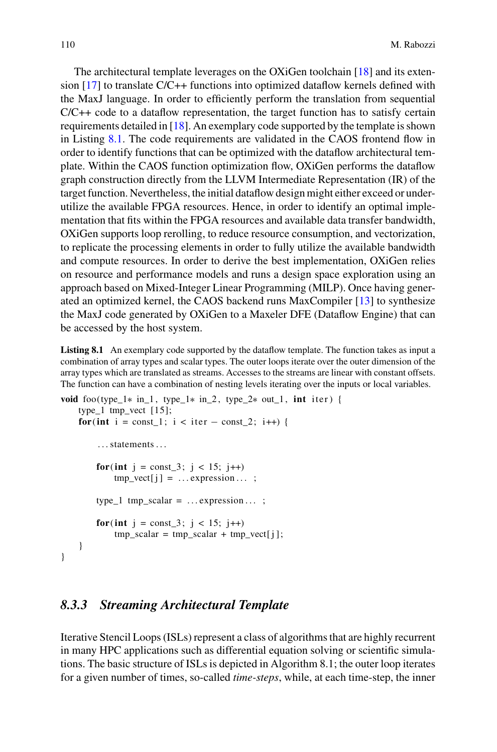The architectural template leverages on the OXiGen toolchain [\[18](#page-12-5)] and its extension [\[17\]](#page-12-6) to translate C/C++ functions into optimized dataflow kernels defined with the MaxJ language. In order to efficiently perform the translation from sequential  $C/C++$  code to a dataflow representation, the target function has to satisfy certain requirements detailed in [\[18](#page-12-5)]. An exemplary code supported by the template is shown in Listing [8.1.](#page-7-0) The code requirements are validated in the CAOS frontend flow in order to identify functions that can be optimized with the dataflow architectural template. Within the CAOS function optimization flow, OXiGen performs the dataflow graph construction directly from the LLVM Intermediate Representation (IR) of the target function. Nevertheless, the initial dataflow design might either exceed or underutilize the available FPGA resources. Hence, in order to identify an optimal implementation that fits within the FPGA resources and available data transfer bandwidth, OXiGen supports loop rerolling, to reduce resource consumption, and vectorization, to replicate the processing elements in order to fully utilize the available bandwidth and compute resources. In order to derive the best implementation, OXiGen relies on resource and performance models and runs a design space exploration using an approach based on Mixed-Integer Linear Programming (MILP). Once having generated an optimized kernel, the CAOS backend runs MaxCompiler [\[13\]](#page-11-5) to synthesize the MaxJ code generated by OXiGen to a Maxeler DFE (Dataflow Engine) that can be accessed by the host system.

<span id="page-7-0"></span>**Listing 8.1** An exemplary code supported by the dataflow template. The function takes as input a combination of array types and scalar types. The outer loops iterate over the outer dimension of the array types which are translated as streams. Accesses to the streams are linear with constant offsets. The function can have a combination of nesting levels iterating over the inputs or local variables.

```
void foo(type_1∗ in_1 , type_1∗ in_2 , type_2∗ out_1, int iter) {
    type1 tmp_vect [15];
    for(int i = const_1; i < iter - const_2; i++) {
         ... statements ...
        for(int j = const_3; j < 15; j++)tmp\_vect[j] = ... expression ...;type_1 tmp_scalar = \ldots expression \ldots;
        for(\text{int } i = \text{const} 3; i < 15; i++)tmp\_scalar = tmp\_scalar + tmp\_vect[j];}
}
```
# *8.3.3 Streaming Architectural Template*

Iterative Stencil Loops (ISLs) represent a class of algorithms that are highly recurrent in many HPC applications such as differential equation solving or scientific simulations. The basic structure of ISLs is depicted in Algorithm 8.1; the outer loop iterates for a given number of times, so-called *time-steps*, while, at each time-step, the inner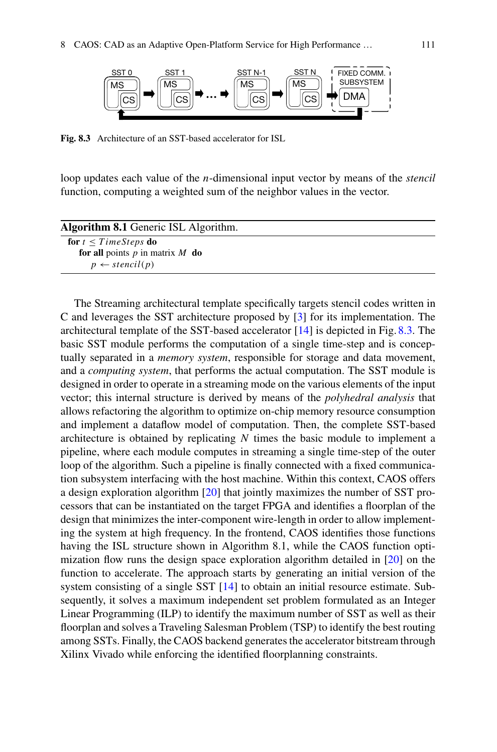

<span id="page-8-0"></span>**Fig. 8.3** Architecture of an SST-based accelerator for ISL

loop updates each value of the *n*-dimensional input vector by means of the *stencil* function, computing a weighted sum of the neighbor values in the vector.

| Algorithm 8.1 Generic ISL Algorithm. |  |
|--------------------------------------|--|
| for $t < T$ imesteps do              |  |
| for all points $p$ in matrix $M$ do  |  |
| $p \leftarrow \text{stencil}(p)$     |  |

The Streaming architectural template specifically targets stencil codes written in C and leverages the SST architecture proposed by [\[3\]](#page-11-10) for its implementation. The architectural template of the SST-based accelerator [\[14\]](#page-11-11) is depicted in Fig. [8.3.](#page-8-0) The basic SST module performs the computation of a single time-step and is conceptually separated in a *memory system*, responsible for storage and data movement, and a *computing system*, that performs the actual computation. The SST module is designed in order to operate in a streaming mode on the various elements of the input vector; this internal structure is derived by means of the *polyhedral analysis* that allows refactoring the algorithm to optimize on-chip memory resource consumption and implement a dataflow model of computation. Then, the complete SST-based architecture is obtained by replicating *N* times the basic module to implement a pipeline, where each module computes in streaming a single time-step of the outer loop of the algorithm. Such a pipeline is finally connected with a fixed communication subsystem interfacing with the host machine. Within this context, CAOS offers a design exploration algorithm [\[20\]](#page-12-7) that jointly maximizes the number of SST processors that can be instantiated on the target FPGA and identifies a floorplan of the design that minimizes the inter-component wire-length in order to allow implementing the system at high frequency. In the frontend, CAOS identifies those functions having the ISL structure shown in Algorithm 8.1, while the CAOS function optimization flow runs the design space exploration algorithm detailed in [\[20](#page-12-7)] on the function to accelerate. The approach starts by generating an initial version of the system consisting of a single SST [\[14\]](#page-11-11) to obtain an initial resource estimate. Subsequently, it solves a maximum independent set problem formulated as an Integer Linear Programming (ILP) to identify the maximum number of SST as well as their floorplan and solves a Traveling Salesman Problem (TSP) to identify the best routing among SSTs. Finally, the CAOS backend generates the accelerator bitstream through Xilinx Vivado while enforcing the identified floorplanning constraints.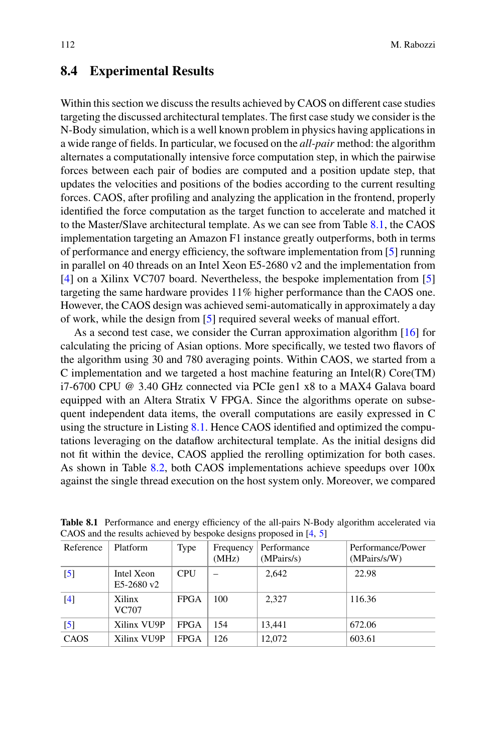#### <span id="page-9-0"></span>**8.4 Experimental Results**

Within this section we discuss the results achieved by CAOS on different case studies targeting the discussed architectural templates. The first case study we consider is the N-Body simulation, which is a well known problem in physics having applications in a wide range of fields. In particular, we focused on the *all-pair* method: the algorithm alternates a computationally intensive force computation step, in which the pairwise forces between each pair of bodies are computed and a position update step, that updates the velocities and positions of the bodies according to the current resulting forces. CAOS, after profiling and analyzing the application in the frontend, properly identified the force computation as the target function to accelerate and matched it to the Master/Slave architectural template. As we can see from Table [8.1,](#page-9-1) the CAOS implementation targeting an Amazon F1 instance greatly outperforms, both in terms of performance and energy efficiency, the software implementation from [\[5\]](#page-11-12) running in parallel on 40 threads on an Intel Xeon E5-2680 v2 and the implementation from [\[4\]](#page-11-13) on a Xilinx VC707 board. Nevertheless, the bespoke implementation from [\[5\]](#page-11-12) targeting the same hardware provides 11% higher performance than the CAOS one. However, the CAOS design was achieved semi-automatically in approximately a day of work, while the design from [\[5\]](#page-11-12) required several weeks of manual effort.

As a second test case, we consider the Curran approximation algorithm [\[16\]](#page-12-8) for calculating the pricing of Asian options. More specifically, we tested two flavors of the algorithm using 30 and 780 averaging points. Within CAOS, we started from a C implementation and we targeted a host machine featuring an Intel(R) Core(TM) i7-6700 CPU @ 3.40 GHz connected via PCIe gen1 x8 to a MAX4 Galava board equipped with an Altera Stratix V FPGA. Since the algorithms operate on subsequent independent data items, the overall computations are easily expressed in C using the structure in Listing [8.1.](#page-7-0) Hence CAOS identified and optimized the computations leveraging on the dataflow architectural template. As the initial designs did not fit within the device, CAOS applied the rerolling optimization for both cases. As shown in Table [8.2,](#page-10-1) both CAOS implementations achieve speedups over 100x against the single thread execution on the host system only. Moreover, we compared

| Reference         | Platform                 | Type        | Frequency<br>(MHz) | Performance<br>(MPairs/s) | Performance/Power<br>(MPairs/s/W) |
|-------------------|--------------------------|-------------|--------------------|---------------------------|-----------------------------------|
| $\lceil 5 \rceil$ | Intel Xeon<br>E5-2680 v2 | <b>CPU</b>  |                    | 2.642                     | 22.98                             |
| [4]               | Xilinx<br>VC707          | <b>FPGA</b> | 100                | 2.327                     | 116.36                            |
| $\lceil 5 \rceil$ | Xilinx VU9P              | <b>FPGA</b> | 154                | 13.441                    | 672.06                            |
| CAOS              | Xilinx VU9P              | <b>FPGA</b> | 126                | 12,072                    | 603.61                            |

<span id="page-9-1"></span>Table 8.1 Performance and energy efficiency of the all-pairs N-Body algorithm accelerated via CAOS and the results achieved by bespoke designs proposed in [\[4,](#page-11-13) [5\]](#page-11-12)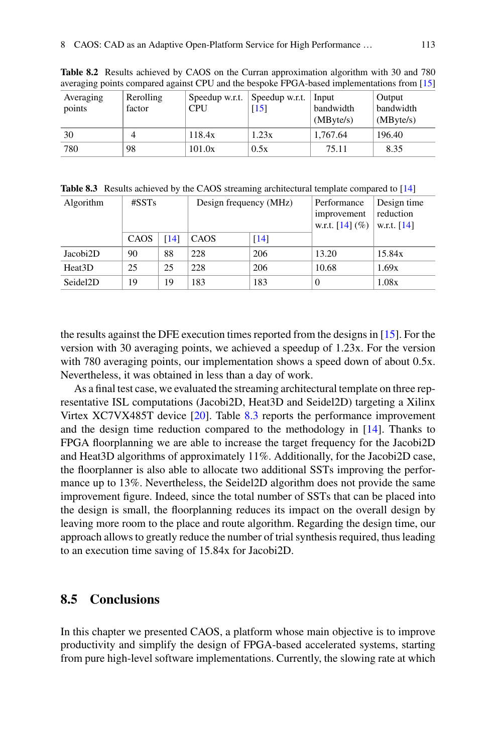| Averaging | Rerolling | Speedup w.r.t. | Speedup w.r.t. | Input     | Output    |
|-----------|-----------|----------------|----------------|-----------|-----------|
| points    | factor    | <b>CPU</b>     | [15]           | bandwidth | bandwidth |
|           |           |                |                | (MByte/s) | (MByte/s) |
| 30        | 4         | 118.4x         | 1.23x          | 1.767.64  | 196.40    |
| 780       | 98        | 101.0x         | 0.5x           | 75.11     | 8.35      |

<span id="page-10-1"></span>**Table 8.2** Results achieved by CAOS on the Curran approximation algorithm with 30 and 780 averaging points compared against CPU and the bespoke FPGA-based implementations from [\[15](#page-12-9)]

<span id="page-10-2"></span>**Table 8.3** Results achieved by the CAOS streaming architectural template compared to [\[14](#page-11-11)]

| Algorithm | #SSTs |      | Design frequency (MHz) |      | Performance<br>improvement<br>w.r.t. $[14]$ $(\%)$ | Design time<br>reduction<br>w.r.t. $[14]$ |
|-----------|-------|------|------------------------|------|----------------------------------------------------|-------------------------------------------|
|           | CAOS  | [14] | CAOS                   | [14] |                                                    |                                           |
| Jacobi2D  | 90    | 88   | 228                    | 206  | 13.20                                              | 15.84x                                    |
| Heat3D    | 25    | 25   | 228                    | 206  | 10.68                                              | 1.69x                                     |
| Seidel2D  | 19    | 19   | 183                    | 183  | 0                                                  | 1.08x                                     |

the results against the DFE execution times reported from the designs in [\[15\]](#page-12-9). For the version with 30 averaging points, we achieved a speedup of 1.23x. For the version with 780 averaging points, our implementation shows a speed down of about 0.5x. Nevertheless, it was obtained in less than a day of work.

As a final test case, we evaluated the streaming architectural template on three representative ISL computations (Jacobi2D, Heat3D and Seidel2D) targeting a Xilinx Virtex XC7VX485T device [\[20\]](#page-12-7). Table [8.3](#page-10-2) reports the performance improvement and the design time reduction compared to the methodology in [\[14](#page-11-11)]. Thanks to FPGA floorplanning we are able to increase the target frequency for the Jacobi2D and Heat3D algorithms of approximately 11%. Additionally, for the Jacobi2D case, the floorplanner is also able to allocate two additional SSTs improving the performance up to 13%. Nevertheless, the Seidel2D algorithm does not provide the same improvement figure. Indeed, since the total number of SSTs that can be placed into the design is small, the floorplanning reduces its impact on the overall design by leaving more room to the place and route algorithm. Regarding the design time, our approach allows to greatly reduce the number of trial synthesis required, thus leading to an execution time saving of 15.84x for Jacobi2D.

# <span id="page-10-0"></span>**8.5 Conclusions**

In this chapter we presented CAOS, a platform whose main objective is to improve productivity and simplify the design of FPGA-based accelerated systems, starting from pure high-level software implementations. Currently, the slowing rate at which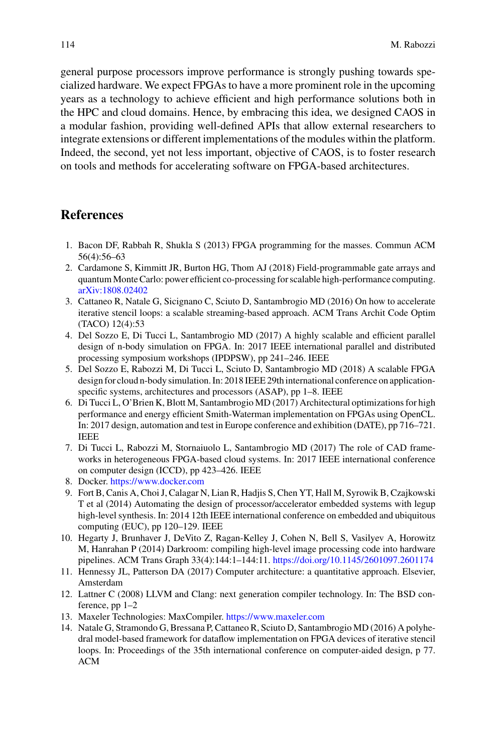general purpose processors improve performance is strongly pushing towards specialized hardware. We expect FPGAs to have a more prominent role in the upcoming years as a technology to achieve efficient and high performance solutions both in the HPC and cloud domains. Hence, by embracing this idea, we designed CAOS in a modular fashion, providing well-defined APIs that allow external researchers to integrate extensions or different implementations of the modules within the platform. Indeed, the second, yet not less important, objective of CAOS, is to foster research on tools and methods for accelerating software on FPGA-based architectures.

# **References**

- <span id="page-11-3"></span>1. Bacon DF, Rabbah R, Shukla S (2013) FPGA programming for the masses. Commun ACM 56(4):56–63
- <span id="page-11-1"></span>2. Cardamone S, Kimmitt JR, Burton HG, Thom AJ (2018) Field-programmable gate arrays and quantum Monte Carlo: power efficient co-processing for scalable high-performance computing. [arXiv:1808.02402](http://arxiv.org/abs/1808.02402)
- <span id="page-11-10"></span>3. Cattaneo R, Natale G, Sicignano C, Sciuto D, Santambrogio MD (2016) On how to accelerate iterative stencil loops: a scalable streaming-based approach. ACM Trans Archit Code Optim (TACO) 12(4):53
- <span id="page-11-13"></span>4. Del Sozzo E, Di Tucci L, Santambrogio MD (2017) A highly scalable and efficient parallel design of n-body simulation on FPGA. In: 2017 IEEE international parallel and distributed processing symposium workshops (IPDPSW), pp 241–246. IEEE
- <span id="page-11-12"></span>5. Del Sozzo E, Rabozzi M, Di Tucci L, Sciuto D, Santambrogio MD (2018) A scalable FPGA design for cloud n-body simulation. In: 2018 IEEE 29th international conference on applicationspecific systems, architectures and processors (ASAP), pp 1–8. IEEE
- <span id="page-11-2"></span>6. Di Tucci L, O'Brien K, Blott M, Santambrogio MD (2017) Architectural optimizations for high performance and energy efficient Smith-Waterman implementation on FPGAs using OpenCL. In: 2017 design, automation and test in Europe conference and exhibition (DATE), pp 716–721. IEEE
- <span id="page-11-8"></span>7. Di Tucci L, Rabozzi M, Stornaiuolo L, Santambrogio MD (2017) The role of CAD frameworks in heterogeneous FPGA-based cloud systems. In: 2017 IEEE international conference on computer design (ICCD), pp 423–426. IEEE
- <span id="page-11-7"></span>8. Docker. <https://www.docker.com>
- <span id="page-11-6"></span>9. Fort B, Canis A, Choi J, Calagar N, Lian R, Hadjis S, Chen YT, Hall M, Syrowik B, Czajkowski T et al (2014) Automating the design of processor/accelerator embedded systems with legup high-level synthesis. In: 2014 12th IEEE international conference on embedded and ubiquitous computing (EUC), pp 120–129. IEEE
- <span id="page-11-4"></span>10. Hegarty J, Brunhaver J, DeVito Z, Ragan-Kelley J, Cohen N, Bell S, Vasilyev A, Horowitz M, Hanrahan P (2014) Darkroom: compiling high-level image processing code into hardware pipelines. ACM Trans Graph 33(4):144:1–144:11. <https://doi.org/10.1145/2601097.2601174>
- <span id="page-11-0"></span>11. Hennessy JL, Patterson DA (2017) Computer architecture: a quantitative approach. Elsevier, Amsterdam
- <span id="page-11-9"></span>12. Lattner C (2008) LLVM and Clang: next generation compiler technology. In: The BSD conference, pp 1–2
- <span id="page-11-5"></span>13. Maxeler Technologies: MaxCompiler. <https://www.maxeler.com>
- <span id="page-11-11"></span>14. Natale G, Stramondo G, Bressana P, Cattaneo R, Sciuto D, Santambrogio MD (2016) A polyhedral model-based framework for dataflow implementation on FPGA devices of iterative stencil loops. In: Proceedings of the 35th international conference on computer-aided design, p 77. ACM